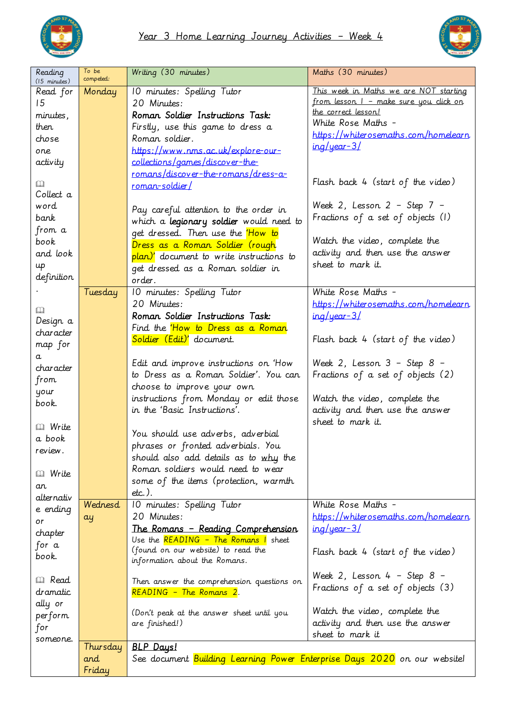



| Reading<br>(15 minutes) | To be<br>competed: | Writing (30 minutes)                                                             | Maths (30 minutes)                     |
|-------------------------|--------------------|----------------------------------------------------------------------------------|----------------------------------------|
| Read for                | Monday             | 10 minutes: Spelling Tutor                                                       | This week in Maths we are NOT starting |
| 15                      |                    | 20 Minutes:                                                                      | from lesson I - make sure you click on |
| minutes,                |                    | Roman Soldier Instructions Task:                                                 | the correct lesson!                    |
| then                    |                    | Firstly, use this game to dress a                                                | White Rose Maths -                     |
| chose                   |                    | Roman soldier.                                                                   | https://whiterosemaths.com/homelearn   |
| one                     |                    | https://www.nms.ac.uk/explore-our-                                               | $ing/year - 3/$                        |
| activity                |                    | <u>collections/games/discover-the-</u>                                           |                                        |
|                         |                    | romans/discover-the-romans/dress-a-                                              |                                        |
| $\square$               |                    |                                                                                  | Flash back 4 (start of the video)      |
| Collect a               |                    | roman-soldier/                                                                   |                                        |
| word                    |                    |                                                                                  | Week 2, Lesson 2 - Step 7 -            |
| bank                    |                    | Pay careful attention to the order in                                            | Fractions of a set of objects (1)      |
| from a                  |                    | which a <b>legionary soldier</b> would need to                                   |                                        |
| book                    |                    | get dressed. Then use the 'How to                                                | Watch the video, complete the          |
| and look                |                    | Dress as a Roman Soldier (rough                                                  | activity and then use the answer       |
|                         |                    | plan)' document to write instructions to                                         | sheet to mark it.                      |
| uр                      |                    | get dressed as a Roman soldier in                                                |                                        |
| definition              |                    | order.                                                                           |                                        |
|                         | Tuesday            | 10 minutes: Spelling Tutor                                                       | White Rose Maths -                     |
| IJ                      |                    | 20 Minutes:                                                                      | https://whiterosemaths.com/homelearn   |
| Design a                |                    | Roman Soldier Instructions Task:                                                 | $ing/year-3/$                          |
| character               |                    | Find the How to Dress as a Roman                                                 |                                        |
| map for                 |                    | Soldier (Edit)' document.                                                        | Flash back 4 (start of the video)      |
| a                       |                    |                                                                                  |                                        |
| character               |                    | Edit and improve instructions on 'How                                            | Week 2, Lesson 3 - Step 8 -            |
| from                    |                    | to Dress as a Roman Soldier'. You can                                            | Fractions of a set of objects $(2)$    |
| your                    |                    | choose to improve your own                                                       |                                        |
| book.                   |                    | instructions from Monday or edit those                                           | Watch the video, complete the          |
|                         |                    | in the 'Basic Instructions'.                                                     | activity and then use the answer       |
| <b>Q</b> Write          |                    |                                                                                  | sheet to mark it.                      |
| a book                  |                    | You should use adverbs, adverbial                                                |                                        |
|                         |                    | phrases or fronted adverbials. You                                               |                                        |
| review.                 |                    | should also add details as to why the                                            |                                        |
|                         |                    | Roman soldiers would need to wear                                                |                                        |
| <b>Q</b> Write          |                    | some of the items (protection, warmth                                            |                                        |
| an                      |                    | $etc.$ ).                                                                        |                                        |
| alternativ              | Wednesd            | 10 minutes: Spelling Tutor                                                       | White Rose Maths -                     |
| e ending                | ay                 | 20 Minutes:                                                                      | https://whiterosemaths.com/homelearn   |
| or                      |                    | <u> The Romans - Reading Comprehension</u>                                       | $inq/year-3/$                          |
| chapter                 |                    | Use the READING - The Romans I sheet                                             |                                        |
| for a                   |                    | (found on our website) to read the                                               | Flash back 4 (start of the video)      |
| book.                   |                    | information about the Romans.                                                    |                                        |
|                         |                    |                                                                                  | Week 2, Lesson 4 - Step 8 -            |
| <b>Q</b> Read           |                    | Then answer the comprehension questions on                                       | Fractions of a set of objects $(3)$    |
| dramatic                |                    | READING - The Romans 2.                                                          |                                        |
| ally or                 |                    |                                                                                  | Watch the video, complete the          |
| perform                 |                    | (Don't peak at the answer sheet until you<br>are finished!)                      | activity and then use the answer       |
| for                     |                    |                                                                                  | sheet to mark it                       |
| someone.                | Thursday           | <b>BLP Days!</b>                                                                 |                                        |
|                         | and                | See document <b>Building Learning Power Enterprise Days 2020</b> on our websitel |                                        |
|                         | Friday             |                                                                                  |                                        |
|                         |                    |                                                                                  |                                        |